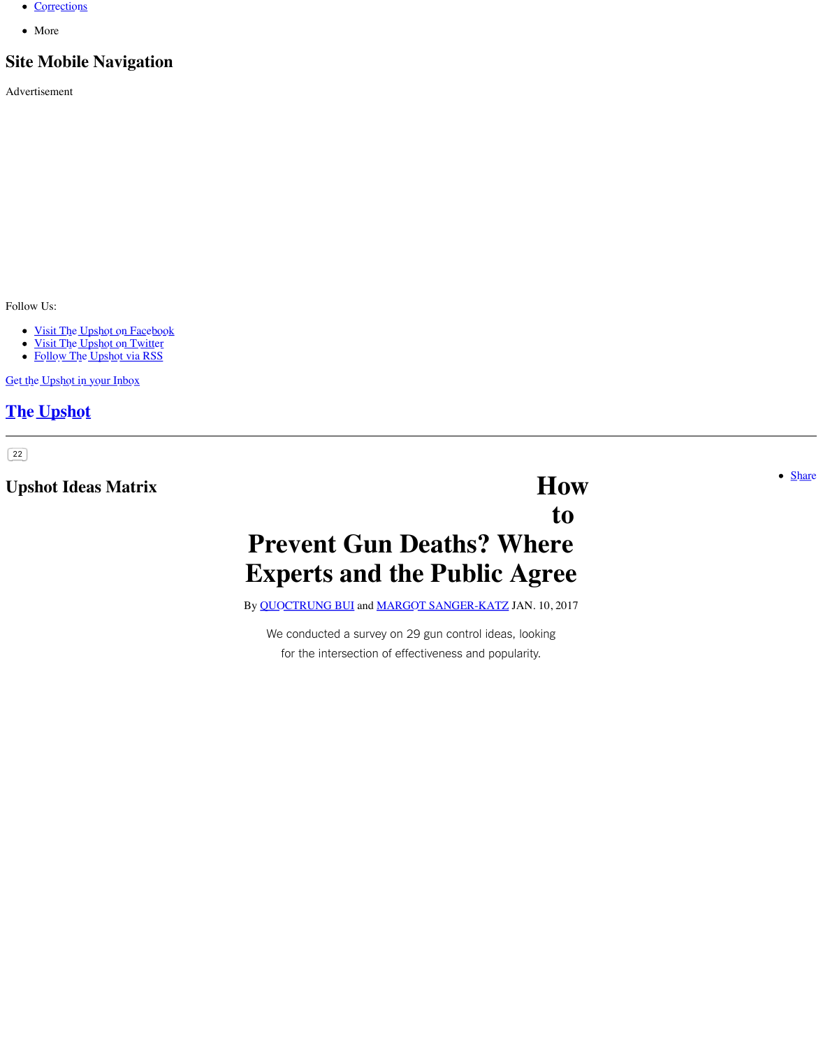**Upshot Ideas Matrix**

- [Corrections](http://www.nytimes.com/pages/corrections/index.html)
- More

# **Site Mobile Navigation**

Advertisement

Follow Us:

- [Visit The Upshot on Facebook](https://www.facebook.com/Upshot)
- [Visit The Upshot on Twitter](https://twitter.com/intent/user?screen_name=UpshotNYT)
- [Follow The Upshot via RSS](http://rss.nytimes.com/services/xml/rss/nyt/Upshot.xml)

[Get the Upshot in your Inbox](http://www.nytimes.com/newsletters/upshot/)

# **[The Upshot](http://www.nytimes.com/upshot)**

 $\begin{bmatrix} 22 \end{bmatrix}$ 

**How**

**to**

# **Prevent Gun Deaths? Where Experts and the Public Agree**

By [QUOCTRUNG BUI](https://www.nytimes.com/by/quoctrung-bui) and [MARGOT SANGER-KATZ](http://www.nytimes.com/by/margot-sanger-katz) JAN. 10, 2017

We conducted a survey on 29 gun control ideas, looking

• [Share](javascript:;)

for the intersection of effectiveness and popularity.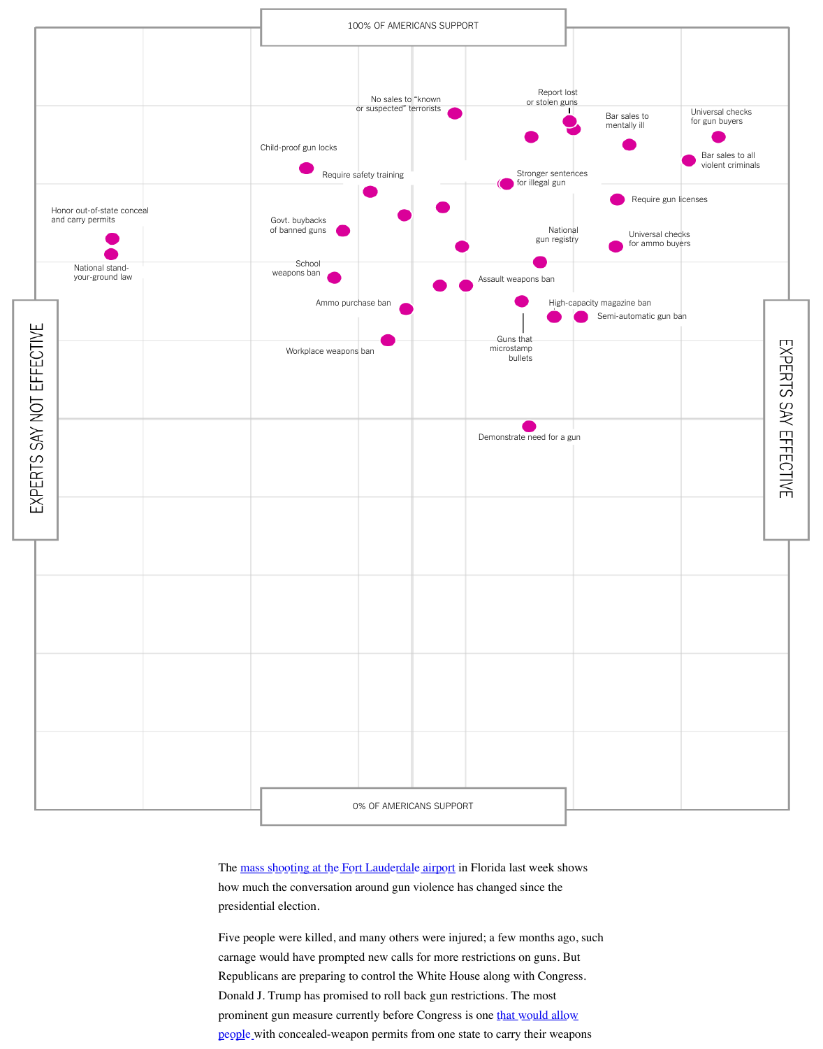The [mass shooting at the Fort Lauderdale airport](http://www.nytimes.com/2017/01/06/us/fort-lauderdale-airport.html) in Florida last week shows how much the conversation around gun violence has changed since the presidential election.

Five people were killed, and many others were injured; a few months ago, such carnage would have prompted new calls for more restrictions on guns. But Republicans are preparing to control the White House along with Congress. Donald J. Trump has promised to roll back gun restrictions. The most [prominent gun measure currently before Congress is one that would allow](https://www.thetrace.org/2017/01/new-bill-congress-states-concealed-constitutional-carry-reciprocity/) people with concealed-weapon permits from one state to carry their weapons

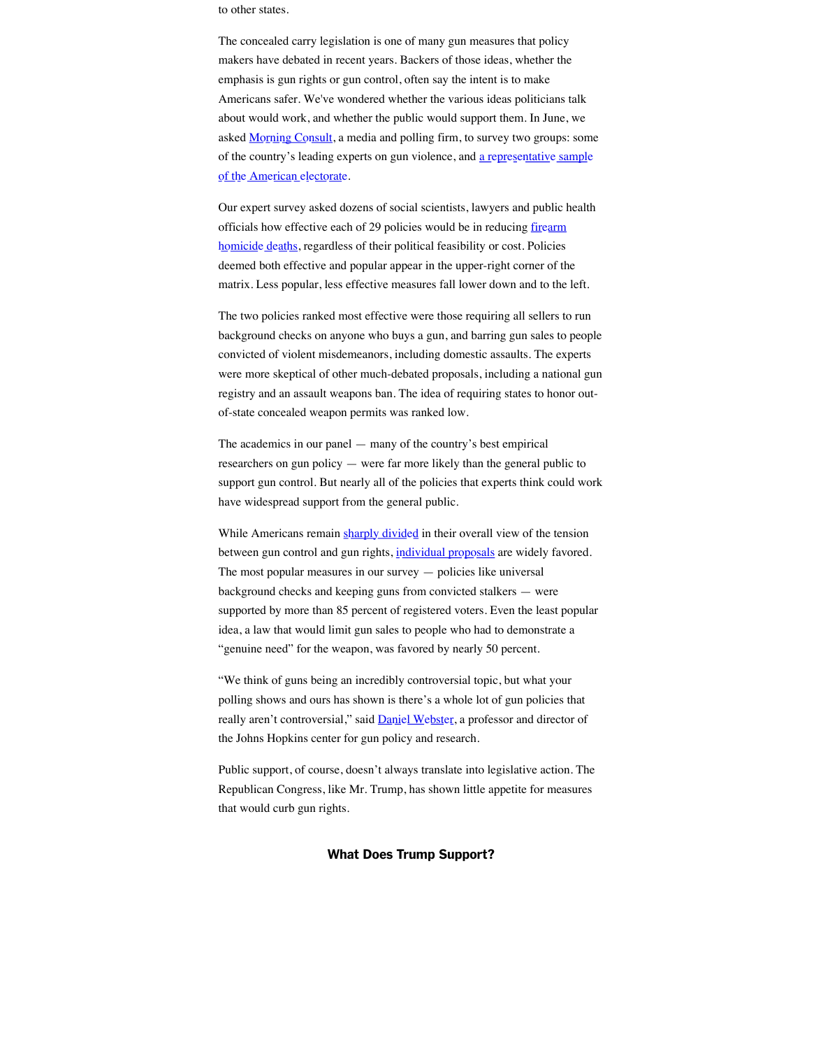to other states.

The concealed carry legislation is one of many gun measures that policy makers have debated in recent years. Backers of those ideas, whether the emphasis is gun rights or gun control, often say the intent is to make Americans safer. We've wondered whether the various ideas politicians talk about would work, and whether the public would support them. In June, we asked [Morning Consult,](https://morningconsult.com/) a media and polling firm, to survey two groups: some [of the country's leading experts on gun violence, and a representative sample](https://morningconsultintelligence.com/public/mc/160609_topline_NYT_v2_AP.pdf) of the American electorate.

Our expert survey asked dozens of social scientists, lawyers and public health officials how effective each of 29 policies would be in reducing *firearm* homicide deaths, regardless of their political feasibility or cost. Policies deemed both effective and popular appear in the upper-right corner of the matrix. Less popular, less effective measures fall lower down and to the left.

While Americans remain [sharply divided](http://www.people-press.org/2015/08/13/gun-rights-vs-gun-control/#total) in their overall view of the tension between gun control and gun rights, [individual proposals](http://www.people-press.org/2015/08/13/continued-bipartisan-support-for-expanded-background-checks-on-gun-sales/) are widely favored. The most popular measures in our survey — policies like universal background checks and keeping guns from convicted stalkers — were supported by more than 85 percent of registered voters. Even the least popular idea, a law that would limit gun sales to people who had to demonstrate a

The two policies ranked most effective were those requiring all sellers to run background checks on anyone who buys a gun, and barring gun sales to people convicted of violent misdemeanors, including domestic assaults. The experts were more skeptical of other much-debated proposals, including a national gun registry and an assault weapons ban. The idea of requiring states to honor outof-state concealed weapon permits was ranked low.

The academics in our panel — many of the country's best empirical researchers on gun policy — were far more likely than the general public to support gun control. But nearly all of the policies that experts think could work have widespread support from the general public.

"genuine need" for the weapon, was favored by nearly 50 percent.

"We think of guns being an incredibly controversial topic, but what your polling shows and ours has shown is there's a whole lot of gun policies that really aren't controversial," said **Daniel Webster**, a professor and director of the Johns Hopkins center for gun policy and research.

Public support, of course, doesn't always translate into legislative action. The Republican Congress, like Mr. Trump, has shown little appetite for measures that would curb gun rights.

### What Does Trump Support?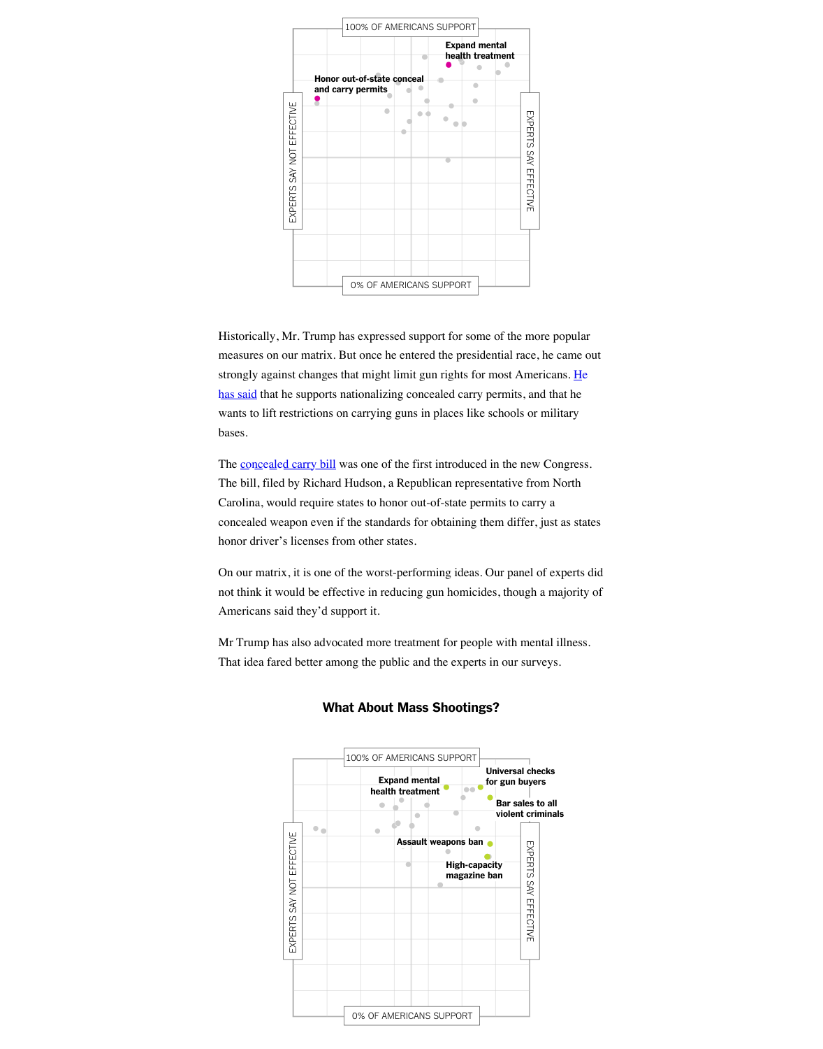Historically, Mr. Trump has expressed support for some of the more popular measures on our matrix. But once he entered the presidential race, he came out [strongly against changes that might limit gun rights for most Americans. He](https://assets.donaldjtrump.com/Second_Amendment_Rights.pdf) has said that he supports nationalizing concealed carry permits, and that he wants to lift restrictions on carrying guns in places like schools or military bases.

The [concealed carry bill](http://www.nytimes.com/2017/01/06/us/fort-lauderdale-airport.html) was one of the first introduced in the new Congress. The bill, filed by Richard Hudson, a Republican representative from North Carolina, would require states to honor out-of-state permits to carry a concealed weapon even if the standards for obtaining them differ, just as states honor driver's licenses from other states.

On our matrix, it is one of the worst-performing ideas. Our panel of experts did not think it would be effective in reducing gun homicides, though a majority of Americans said they'd support it.

Mr Trump has also advocated more treatment for people with mental illness. That idea fared better among the public and the experts in our surveys.

### What About Mass Shootings?



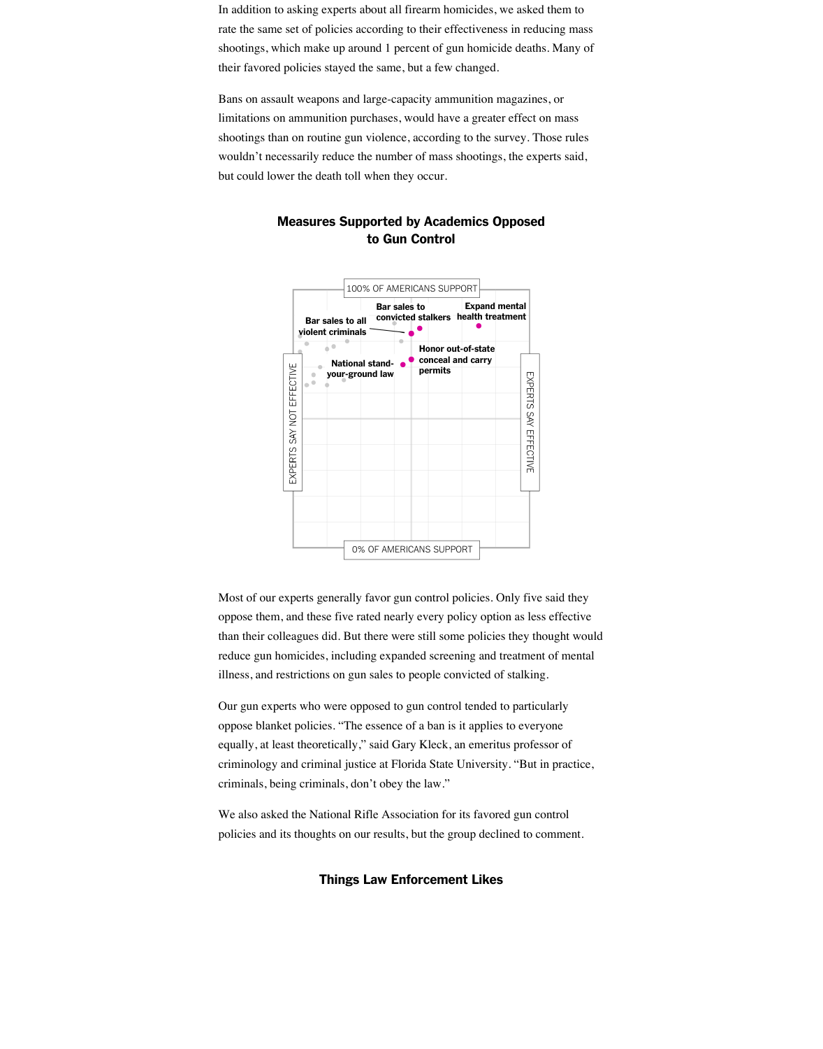In addition to asking experts about all firearm homicides, we asked them to rate the same set of policies according to their effectiveness in reducing mass shootings, which make up around 1 percent of gun homicide deaths. Many of their favored policies stayed the same, but a few changed.

Bans on assault weapons and large-capacity ammunition magazines, or limitations on ammunition purchases, would have a greater effect on mass shootings than on routine gun violence, according to the survey. Those rules wouldn't necessarily reduce the number of mass shootings, the experts said, but could lower the death toll when they occur.

### Measures Supported by Academics Opposed to Gun Control

Most of our experts generally favor gun control policies. Only five said they oppose them, and these five rated nearly every policy option as less effective than their colleagues did. But there were still some policies they thought would

reduce gun homicides, including expanded screening and treatment of mental illness, and restrictions on gun sales to people convicted of stalking.

Our gun experts who were opposed to gun control tended to particularly oppose blanket policies. "The essence of a ban is it applies to everyone equally, at least theoretically," said Gary Kleck, an emeritus professor of criminology and criminal justice at Florida State University. "But in practice, criminals, being criminals, don't obey the law."

We also asked the National Rifle Association for its favored gun control policies and its thoughts on our results, but the group declined to comment.

Things Law Enforcement Likes

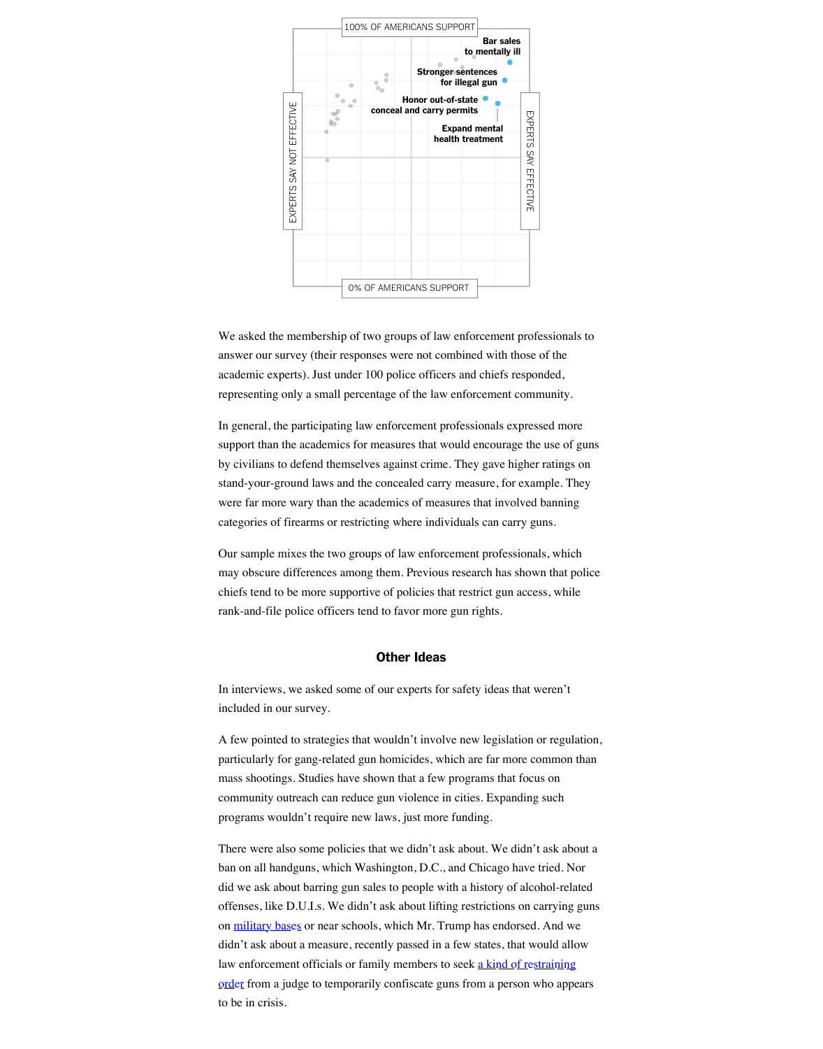We asked the membership of two groups of law enforcement professionals to answer our survey (their responses were not combined with those of the academic experts). Just under 100 police officers and chiefs responded, representing only a small percentage of the law enforcement community.

In general, the participating law enforcement professionals expressed more support than the academics for measures that would encourage the use of guns by civilians to defend themselves against crime. They gave higher ratings on stand-your-ground laws and the concealed carry measure, for example. They were far more wary than the academics of measures that involved banning categories of firearms or restricting where individuals can carry guns.

Our sample mixes the two groups of law enforcement professionals, which may obscure differences among them. Previous research has shown that police chiefs tend to be more supportive of policies that restrict gun access, while rank-and-file police officers tend to favor more gun rights.

### Other Ideas

In interviews, we asked some of our experts for safety ideas that weren't included in our survey.

A few pointed to strategies that wouldn't involve new legislation or regulation, particularly for gang-related gun homicides, which are far more common than mass shootings. Studies have shown that a few programs that focus on community outreach can reduce gun violence in cities. Expanding such programs wouldn't require new laws, just more funding.

There were also some policies that we didn't ask about. We didn't ask about a ban on all handguns, which Washington, D.C., and Chicago have tried. Nor did we ask about barring gun sales to people with a history of alcohol-related offenses, like D.U.I.s. We didn't ask about lifting restrictions on carrying guns on [military bases](https://www.congress.gov/bill/115th-congress/house-bill/256/text?q=%7B%22search%22%3A%5B%22firearm%22%5D%7D&r=3) or near schools, which Mr. Trump has endorsed. And we didn't ask about a measure, recently passed in a few states, that would allow [law enforcement officials or family members to seek a kind of restraining](http://www.nytimes.com/2014/05/29/us/in-wake-of-mass-shooting-a-gun-bill-is-pushed-in-california.html) order from a judge to temporarily confiscate guns from a person who appears to be in crisis.

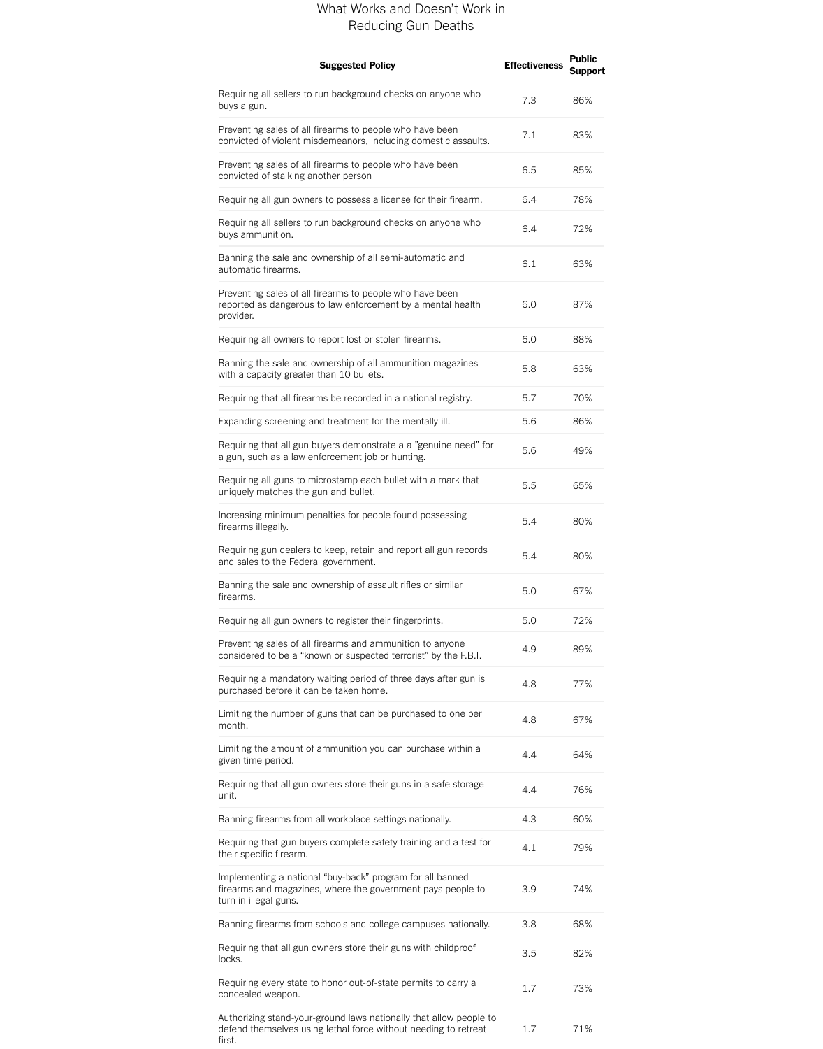# What Works and Doesn't Work in Reducing Gun Deaths

| <b>Suggested Policy</b>                                                                                                                           | <b>Effectiveness</b> | <b>Public</b><br><b>Support</b> |
|---------------------------------------------------------------------------------------------------------------------------------------------------|----------------------|---------------------------------|
| Requiring all sellers to run background checks on anyone who<br>buys a gun.                                                                       | 7.3                  | 86%                             |
| Preventing sales of all firearms to people who have been<br>convicted of violent misdemeanors, including domestic assaults.                       | 7.1                  | 83%                             |
| Preventing sales of all firearms to people who have been<br>convicted of stalking another person                                                  | 6.5                  | 85%                             |
| Requiring all gun owners to possess a license for their firearm.                                                                                  | 6.4                  | 78%                             |
| Requiring all sellers to run background checks on anyone who<br>buys ammunition.                                                                  | 6.4                  | 72%                             |
| Banning the sale and ownership of all semi-automatic and<br>automatic firearms.                                                                   | 6.1                  | 63%                             |
| Preventing sales of all firearms to people who have been<br>reported as dangerous to law enforcement by a mental health<br>provider.              | 6.0                  | 87%                             |
| Requiring all owners to report lost or stolen firearms.                                                                                           | 6.0                  | 88%                             |
| Banning the sale and ownership of all ammunition magazines<br>with a capacity greater than 10 bullets.                                            | 5.8                  | 63%                             |
| Requiring that all firearms be recorded in a national registry.                                                                                   | 5.7                  | 70%                             |
| Expanding screening and treatment for the mentally ill.                                                                                           | 5.6                  | 86%                             |
| Requiring that all gun buyers demonstrate a a "genuine need" for<br>a gun, such as a law enforcement job or hunting.                              | 5.6                  | 49%                             |
| Requiring all guns to microstamp each bullet with a mark that<br>uniquely matches the gun and bullet.                                             | 5.5                  | 65%                             |
| Increasing minimum penalties for people found possessing<br>firearms illegally.                                                                   | 5.4                  | 80%                             |
| Requiring gun dealers to keep, retain and report all gun records<br>and sales to the Federal government.                                          | 5.4                  | 80%                             |
| Banning the sale and ownership of assault rifles or similar<br>firearms.                                                                          | 5.0                  | 67%                             |
| Requiring all gun owners to register their fingerprints.                                                                                          | 5.0                  | 72%                             |
| Preventing sales of all firearms and ammunition to anyone<br>considered to be a "known or suspected terrorist" by the F.B.I.                      | 4.9                  | 89%                             |
| Requiring a mandatory waiting period of three days after gun is<br>purchased before it can be taken home.                                         | 4.8                  | 77%                             |
| Limiting the number of guns that can be purchased to one per<br>month.                                                                            | 4.8                  | 67%                             |
| Limiting the amount of ammunition you can purchase within a<br>given time period.                                                                 | 4.4                  | 64%                             |
| Requiring that all gun owners store their guns in a safe storage<br>unit.                                                                         | 4.4                  | 76%                             |
| Banning firearms from all workplace settings nationally.                                                                                          | 4.3                  | 60%                             |
| Requiring that gun buyers complete safety training and a test for<br>their specific firearm.                                                      | 4.1                  | 79%                             |
| Implementing a national "buy-back" program for all banned<br>firearms and magazines, where the government pays people to<br>turn in illegal guns. | 3.9                  | 74%                             |
| Banning firearms from schools and college campuses nationally.                                                                                    | 3.8                  | 68%                             |
| Requiring that all gun owners store their guns with childproof<br>locks.                                                                          | 3.5                  | 82%                             |
| Requiring every state to honor out-of-state permits to carry a<br>concealed weapon.                                                               | 1.7                  | 73%                             |
| Authorizing stand-your-ground laws nationally that allow people to<br>defend themselves using lethal force without needing to retreat<br>first.   | 1.7                  | 71%                             |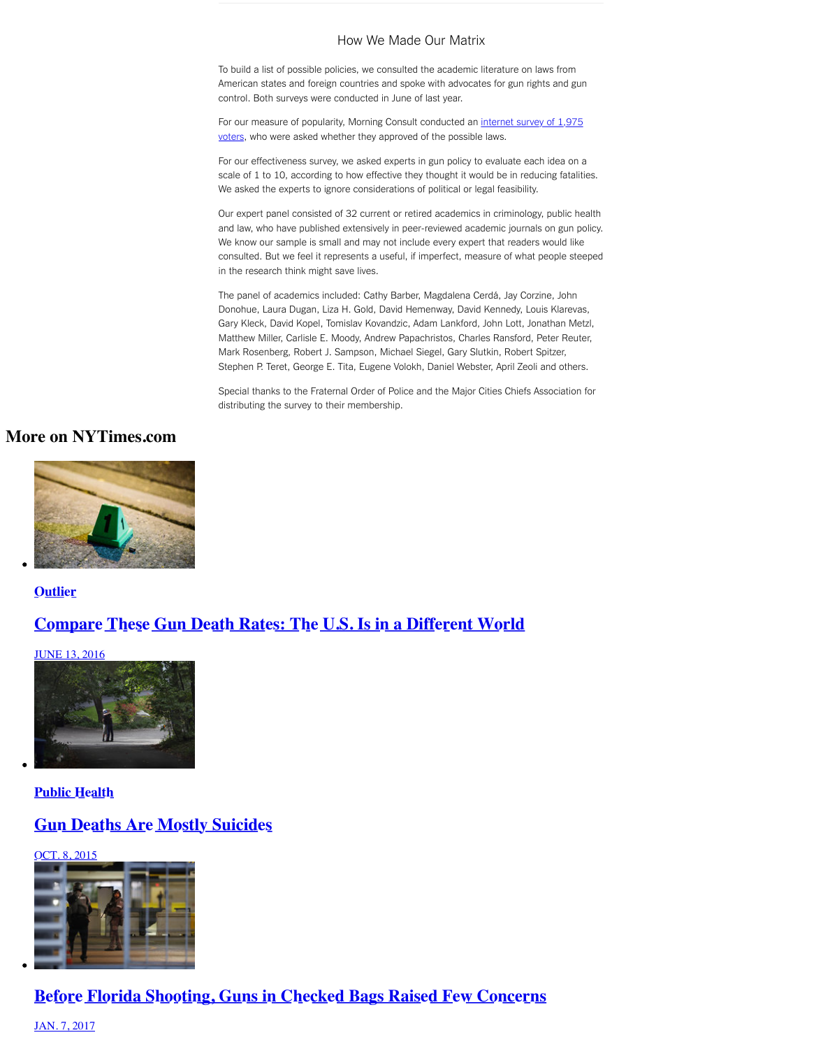### How We Made Our Matrix

To build a list of possible policies, we consulted the academic literature on laws from American states and foreign countries and spoke with advocates for gun rights and gun control. Both surveys were conducted in June of last year.

[For our measure of popularity, Morning Consult conducted an internet survey of 1,975](https://morningconsultintelligence.com/public/mc/160609_crosstabs_NYT_v2_AP.pdf) voters, who were asked whether they approved of the possible laws.

For our effectiveness survey, we asked experts in gun policy to evaluate each idea on a scale of 1 to 10, according to how effective they thought it would be in reducing fatalities. We asked the experts to ignore considerations of political or legal feasibility.

Our expert panel consisted of 32 current or retired academics in criminology, public health and law, who have published extensively in peer-reviewed academic journals on gun policy. We know our sample is small and may not include every expert that readers would like consulted. But we feel it represents a useful, if imperfect, measure of what people steeped in the research think might save lives.

The panel of academics included: Cathy Barber, Magdalena Cerdá, Jay Corzine, John Donohue, Laura Dugan, Liza H. Gold, David Hemenway, David Kennedy, Louis Klarevas, Gary Kleck, David Kopel, Tomislav Kovandzic, Adam Lankford, John Lott, Jonathan Metzl, Matthew Miller, Carlisle E. Moody, Andrew Papachristos, Charles Ransford, Peter Reuter, Mark Rosenberg, Robert J. Sampson, Michael Siegel, Gary Slutkin, Robert Spitzer, Stephen P. Teret, George E. Tita, Eugene Volokh, Daniel Webster, April Zeoli and others.

Special thanks to the Fraternal Order of Police and the Major Cities Chiefs Association for distributing the survey to their membership.

## **More on NYTimes.com**



### **Outlier**

# **[Compare These Gun Death Rates: The U.S. Is in a Different World](http://www.nytimes.com/2016/06/14/upshot/compare-these-gun-death-rates-the-us-is-in-a-different-world.html)**

#### JUNE 13, 2016



### **Public Health**

# **[Gun Deaths Are Mostly Suicides](http://www.nytimes.com/2015/10/09/upshot/gun-deaths-are-mostly-suicides.html)**

#### OCT. 8, 2015



**[Before Florida Shooting, Guns in Checked Bags Raised Few Concerns](http://www.nytimes.com/2017/01/07/us/fort-lauderdale-airport-shooting-guns.html)**

### JAN. 7, 2017